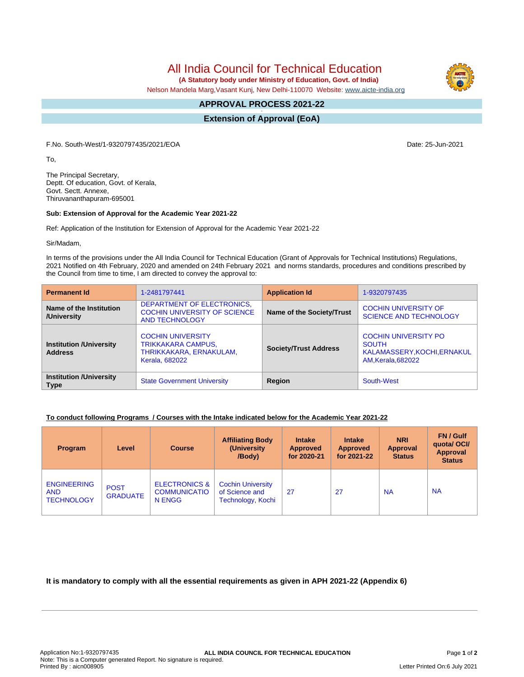All India Council for Technical Education

 **(A Statutory body under Ministry of Education, Govt. of India)**

Nelson Mandela Marg,Vasant Kunj, New Delhi-110070 Website: [www.aicte-india.org](http://www.aicte-india.org)

#### **APPROVAL PROCESS 2021-22 -**

**Extension of Approval (EoA)**

F.No. South-West/1-9320797435/2021/EOA Date: 25-Jun-2021

To,

The Principal Secretary, Deptt. Of education, Govt. of Kerala, Govt. Sectt. Annexe, Thiruvananthapuram-695001

### **Sub: Extension of Approval for the Academic Year 2021-22**

Ref: Application of the Institution for Extension of Approval for the Academic Year 2021-22

Sir/Madam,

In terms of the provisions under the All India Council for Technical Education (Grant of Approvals for Technical Institutions) Regulations, 2021 Notified on 4th February, 2020 and amended on 24th February 2021 and norms standards, procedures and conditions prescribed by the Council from time to time, I am directed to convey the approval to:

| <b>Permanent Id</b>                              | 1-2481797441                                                                                              | <b>Application Id</b>        | 1-9320797435                                                                                            |  |
|--------------------------------------------------|-----------------------------------------------------------------------------------------------------------|------------------------------|---------------------------------------------------------------------------------------------------------|--|
| Name of the Institution<br>/University           | DEPARTMENT OF ELECTRONICS.<br><b>COCHIN UNIVERSITY OF SCIENCE</b><br><b>AND TECHNOLOGY</b>                | Name of the Society/Trust    | <b>COCHIN UNIVERSITY OF</b><br><b>SCIENCE AND TECHNOLOGY</b>                                            |  |
| <b>Institution /University</b><br><b>Address</b> | <b>COCHIN UNIVERSITY</b><br><b>TRIKKAKARA CAMPUS,</b><br>THRIKKAKARA, ERNAKULAM,<br><b>Kerala, 682022</b> | <b>Society/Trust Address</b> | <b>COCHIN UNIVERSITY PO</b><br><b>SOUTH</b><br>KALAMASSERY, KOCHI, ERNAKUL<br><b>AM, Kerala, 682022</b> |  |
| <b>Institution /University</b><br><b>Type</b>    | <b>State Government University</b>                                                                        | Region                       | South-West                                                                                              |  |

# **To conduct following Programs / Courses with the Intake indicated below for the Academic Year 2021-22**

| <b>Program</b>                                        | Level                          | <b>Course</b>                                             | <b>Affiliating Body</b><br>(University)<br>/Body)               | <b>Intake</b><br><b>Approved</b><br>for 2020-21 | <b>Intake</b><br><b>Approved</b><br>for 2021-22 | <b>NRI</b><br><b>Approval</b><br><b>Status</b> | FN / Gulf<br>quotal OCI/<br>Approval<br><b>Status</b> |
|-------------------------------------------------------|--------------------------------|-----------------------------------------------------------|-----------------------------------------------------------------|-------------------------------------------------|-------------------------------------------------|------------------------------------------------|-------------------------------------------------------|
| <b>ENGINEERING</b><br><b>AND</b><br><b>TECHNOLOGY</b> | <b>POST</b><br><b>GRADUATE</b> | <b>ELECTRONICS &amp;</b><br><b>COMMUNICATIO</b><br>N ENGG | <b>Cochin University</b><br>of Science and<br>Technology, Kochi | 27                                              | 27                                              | <b>NA</b>                                      | <b>NA</b>                                             |

**It is mandatory to comply with all the essential requirements as given in APH 2021-22 (Appendix 6)**